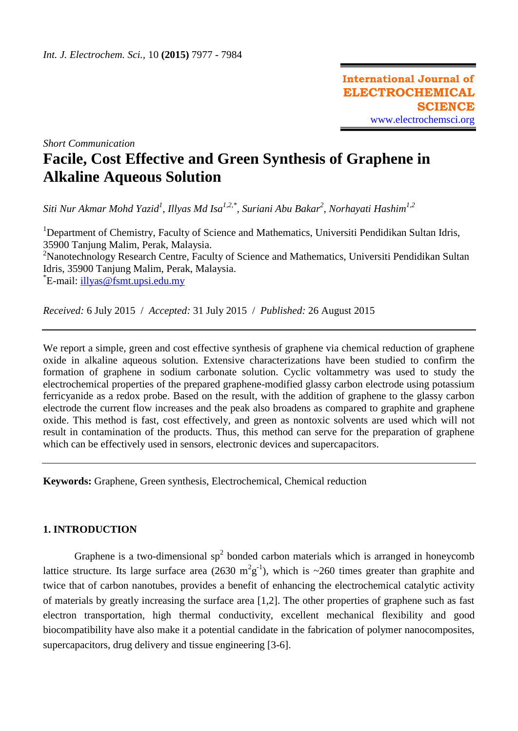**International Journal of ELECTROCHEMICAL SCIENCE** [www.electrochemsci.org](http://www.electrochemsci.org/)

*Short Communication*

# **Facile, Cost Effective and Green Synthesis of Graphene in Alkaline Aqueous Solution**

*Siti Nur Akmar Mohd Yazid<sup>1</sup> , Illyas Md Isa1,2,\* , Suriani Abu Bakar<sup>2</sup> , Norhayati Hashim1,2*

<sup>1</sup>Department of Chemistry, Faculty of Science and Mathematics, Universiti Pendidikan Sultan Idris, 35900 Tanjung Malim, Perak, Malaysia. <sup>2</sup>Nanotechnology Research Centre, Faculty of Science and Mathematics, Universiti Pendidikan Sultan Idris, 35900 Tanjung Malim, Perak, Malaysia. \* E-mail: [illyas@fsmt.upsi.edu.my](mailto:illyas@fsmt.upsi.edu.my)

*Received:* 6 July 2015/ *Accepted:* 31 July 2015 / *Published:* 26 August 2015

We report a simple, green and cost effective synthesis of graphene via chemical reduction of graphene oxide in alkaline aqueous solution. Extensive characterizations have been studied to confirm the formation of graphene in sodium carbonate solution. Cyclic voltammetry was used to study the electrochemical properties of the prepared graphene-modified glassy carbon electrode using potassium ferricyanide as a redox probe. Based on the result, with the addition of graphene to the glassy carbon electrode the current flow increases and the peak also broadens as compared to graphite and graphene oxide. This method is fast, cost effectively, and green as nontoxic solvents are used which will not result in contamination of the products. Thus, this method can serve for the preparation of graphene which can be effectively used in sensors, electronic devices and supercapacitors.

**Keywords:** Graphene, Green synthesis, Electrochemical, Chemical reduction

# **1. INTRODUCTION**

Graphene is a two-dimensional  $sp^2$  bonded carbon materials which is arranged in honeycomb lattice structure. Its large surface area (2630  $m^2g^{-1}$ ), which is ~260 times greater than graphite and twice that of carbon nanotubes, provides a benefit of enhancing the electrochemical catalytic activity of materials by greatly increasing the surface area [1,2]. The other properties of graphene such as fast electron transportation, high thermal conductivity, excellent mechanical flexibility and good biocompatibility have also make it a potential candidate in the fabrication of polymer nanocomposites, supercapacitors, drug delivery and tissue engineering [3-6].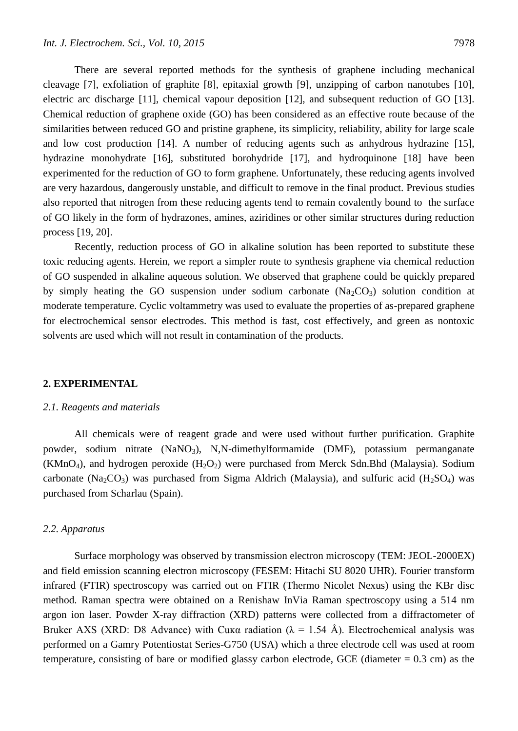There are several reported methods for the synthesis of graphene including mechanical cleavage [7], exfoliation of graphite [8], epitaxial growth [9], unzipping of carbon nanotubes [10], electric arc discharge [11], chemical vapour deposition [12], and subsequent reduction of GO [13]. Chemical reduction of graphene oxide (GO) has been considered as an effective route because of the similarities between reduced GO and pristine graphene, its simplicity, reliability, ability for large scale and low cost production [14]. A number of reducing agents such as anhydrous hydrazine [15], hydrazine monohydrate [16], substituted borohydride [17], and hydroquinone [18] have been experimented for the reduction of GO to form graphene. Unfortunately, these reducing agents involved are very hazardous, dangerously unstable, and difficult to remove in the final product. Previous studies also reported that nitrogen from these reducing agents tend to remain covalently bound to the surface of GO likely in the form of hydrazones, amines, aziridines or other similar structures during reduction process [19, 20].

Recently, reduction process of GO in alkaline solution has been reported to substitute these toxic reducing agents. Herein, we report a simpler route to synthesis graphene via chemical reduction of GO suspended in alkaline aqueous solution. We observed that graphene could be quickly prepared by simply heating the GO suspension under sodium carbonate  $(Na_2CO_3)$  solution condition at moderate temperature. Cyclic voltammetry was used to evaluate the properties of as-prepared graphene for electrochemical sensor electrodes. This method is fast, cost effectively, and green as nontoxic solvents are used which will not result in contamination of the products.

#### **2. EXPERIMENTAL**

## *2.1. Reagents and materials*

All chemicals were of reagent grade and were used without further purification. Graphite powder, sodium nitrate (NaNO3), N,N-dimethylformamide (DMF), potassium permanganate  $(KMnO<sub>4</sub>)$ , and hydrogen peroxide  $(H<sub>2</sub>O<sub>2</sub>)$  were purchased from Merck Sdn.Bhd (Malaysia). Sodium carbonate (Na<sub>2</sub>CO<sub>3</sub>) was purchased from Sigma Aldrich (Malaysia), and sulfuric acid (H<sub>2</sub>SO<sub>4</sub>) was purchased from Scharlau (Spain).

## *2.2. Apparatus*

Surface morphology was observed by transmission electron microscopy (TEM: JEOL-2000EX) and field emission scanning electron microscopy (FESEM: Hitachi SU 8020 UHR). Fourier transform infrared (FTIR) spectroscopy was carried out on FTIR (Thermo Nicolet Nexus) using the KBr disc method. Raman spectra were obtained on a Renishaw InVia Raman spectroscopy using a 514 nm argon ion laser. Powder X-ray diffraction (XRD) patterns were collected from a diffractometer of Bruker AXS (XRD: D8 Advance) with Cuκα radiation (λ = 1.54 Å). Electrochemical analysis was performed on a Gamry Potentiostat Series-G750 (USA) which a three electrode cell was used at room temperature, consisting of bare or modified glassy carbon electrode, GCE (diameter  $= 0.3$  cm) as the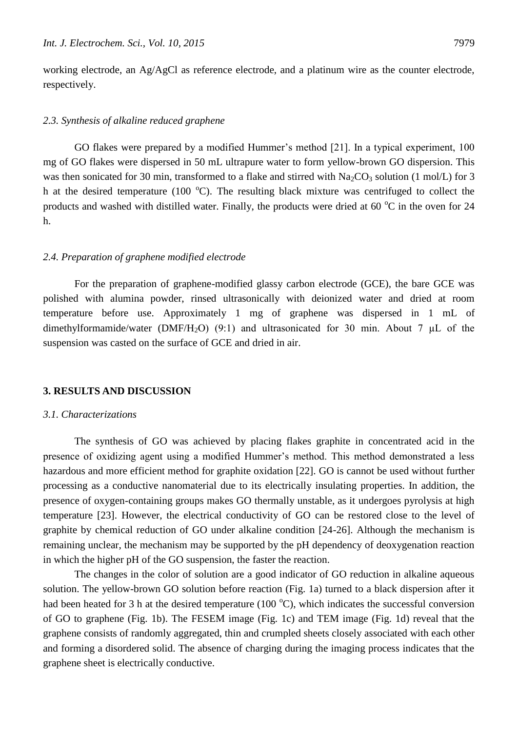working electrode, an Ag/AgCl as reference electrode, and a platinum wire as the counter electrode, respectively.

#### *2.3. Synthesis of alkaline reduced graphene*

GO flakes were prepared by a modified Hummer's method [21]. In a typical experiment, 100 mg of GO flakes were dispersed in 50 mL ultrapure water to form yellow-brown GO dispersion. This was then sonicated for 30 min, transformed to a flake and stirred with  $Na_2CO_3$  solution (1 mol/L) for 3 h at the desired temperature (100  $^{\circ}$ C). The resulting black mixture was centrifuged to collect the products and washed with distilled water. Finally, the products were dried at 60  $^{\circ}$ C in the oven for 24 h.

## *2.4. Preparation of graphene modified electrode*

For the preparation of graphene-modified glassy carbon electrode (GCE), the bare GCE was polished with alumina powder, rinsed ultrasonically with deionized water and dried at room temperature before use. Approximately 1 mg of graphene was dispersed in 1 mL of dimethylformamide/water (DMF/H<sub>2</sub>O) (9:1) and ultrasonicated for 30 min. About 7  $\mu$ L of the suspension was casted on the surface of GCE and dried in air.

## **3. RESULTS AND DISCUSSION**

#### *3.1. Characterizations*

The synthesis of GO was achieved by placing flakes graphite in concentrated acid in the presence of oxidizing agent using a modified Hummer's method. This method demonstrated a less hazardous and more efficient method for graphite oxidation [22]. GO is cannot be used without further processing as a conductive nanomaterial due to its electrically insulating properties. In addition, the presence of oxygen-containing groups makes GO thermally unstable, as it undergoes pyrolysis at high temperature [23]. However, the electrical conductivity of GO can be restored close to the level of graphite by chemical reduction of GO under alkaline condition [24-26]. Although the mechanism is remaining unclear, the mechanism may be supported by the pH dependency of deoxygenation reaction in which the higher pH of the GO suspension, the faster the reaction.

The changes in the color of solution are a good indicator of GO reduction in alkaline aqueous solution. The yellow-brown GO solution before reaction (Fig. 1a) turned to a black dispersion after it had been heated for 3 h at the desired temperature (100  $^{\circ}$ C), which indicates the successful conversion of GO to graphene (Fig. 1b). The FESEM image (Fig. 1c) and TEM image (Fig. 1d) reveal that the graphene consists of randomly aggregated, thin and crumpled sheets closely associated with each other and forming a disordered solid. The absence of charging during the imaging process indicates that the graphene sheet is electrically conductive.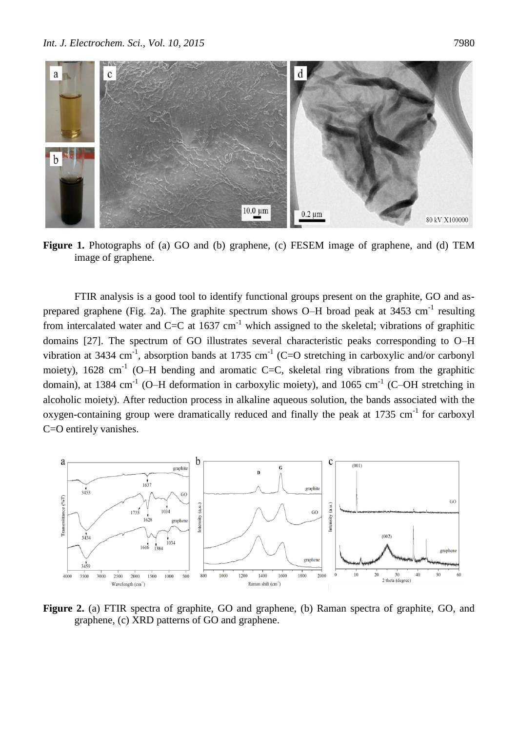

**Figure 1.** Photographs of (a) GO and (b) graphene, (c) FESEM image of graphene, and (d) TEM image of graphene.

FTIR analysis is a good tool to identify functional groups present on the graphite, GO and asprepared graphene (Fig. 2a). The graphite spectrum shows O–H broad peak at 3453 cm<sup>-1</sup> resulting from intercalated water and C=C at  $1637 \text{ cm}^{-1}$  which assigned to the skeletal; vibrations of graphitic domains [27]. The spectrum of GO illustrates several characteristic peaks corresponding to O–H vibration at 3434 cm<sup>-1</sup>, absorption bands at 1735 cm<sup>-1</sup> (C=O stretching in carboxylic and/or carbonyl moiety), 1628 cm<sup>-1</sup> (O–H bending and aromatic C=C, skeletal ring vibrations from the graphitic domain), at 1384 cm<sup>-1</sup> (O–H deformation in carboxylic moiety), and 1065 cm<sup>-1</sup> (C–OH stretching in alcoholic moiety). After reduction process in alkaline aqueous solution, the bands associated with the oxygen-containing group were dramatically reduced and finally the peak at 1735 cm<sup>-1</sup> for carboxyl C=O entirely vanishes.



**Figure 2.** (a) FTIR spectra of graphite, GO and graphene, (b) Raman spectra of graphite, GO, and graphene, (c) XRD patterns of GO and graphene.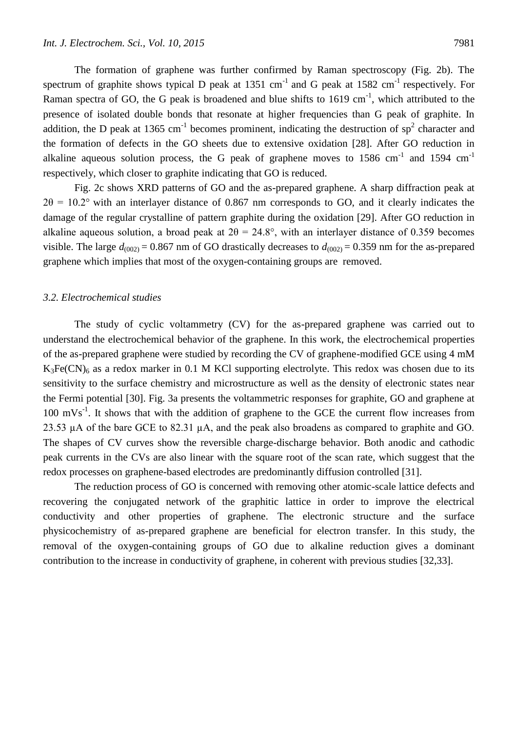The formation of graphene was further confirmed by Raman spectroscopy (Fig. 2b). The spectrum of graphite shows typical D peak at 1351 cm<sup>-1</sup> and G peak at 1582 cm<sup>-1</sup> respectively. For Raman spectra of GO, the G peak is broadened and blue shifts to  $1619 \text{ cm}^{-1}$ , which attributed to the presence of isolated double bonds that resonate at higher frequencies than G peak of graphite. In addition, the D peak at 1365 cm<sup>-1</sup> becomes prominent, indicating the destruction of sp<sup>2</sup> character and the formation of defects in the GO sheets due to extensive oxidation [28]. After GO reduction in alkaline aqueous solution process, the G peak of graphene moves to 1586 cm<sup>-1</sup> and 1594 cm<sup>-1</sup> respectively, which closer to graphite indicating that GO is reduced.

Fig. 2c shows XRD patterns of GO and the as-prepared graphene. A sharp diffraction peak at  $2\theta = 10.2^{\circ}$  with an interlayer distance of 0.867 nm corresponds to GO, and it clearly indicates the damage of the regular crystalline of pattern graphite during the oxidation [29]. After GO reduction in alkaline aqueous solution, a broad peak at  $2\theta = 24.8^{\circ}$ , with an interlayer distance of 0.359 becomes visible. The large  $d_{(002)} = 0.867$  nm of GO drastically decreases to  $d_{(002)} = 0.359$  nm for the as-prepared graphene which implies that most of the oxygen-containing groups are removed.

## *3.2. Electrochemical studies*

The study of cyclic voltammetry (CV) for the as-prepared graphene was carried out to understand the electrochemical behavior of the graphene. In this work, the electrochemical properties of the as-prepared graphene were studied by recording the CV of graphene-modified GCE using 4 mM  $K_3Fe(CN)_6$  as a redox marker in 0.1 M KCl supporting electrolyte. This redox was chosen due to its sensitivity to the surface chemistry and microstructure as well as the density of electronic states near the Fermi potential [30]. Fig. 3a presents the voltammetric responses for graphite, GO and graphene at  $100 \text{ mVs}^{-1}$ . It shows that with the addition of graphene to the GCE the current flow increases from 23.53  $\mu$ A of the bare GCE to 82.31  $\mu$ A, and the peak also broadens as compared to graphite and GO. The shapes of CV curves show the reversible charge-discharge behavior. Both anodic and cathodic peak currents in the CVs are also linear with the square root of the scan rate, which suggest that the redox processes on graphene-based electrodes are predominantly diffusion controlled [31].

The reduction process of GO is concerned with removing other atomic-scale lattice defects and recovering the conjugated network of the graphitic lattice in order to improve the electrical conductivity and other properties of graphene. The electronic structure and the surface physicochemistry of as-prepared graphene are beneficial for electron transfer. In this study, the removal of the oxygen-containing groups of GO due to alkaline reduction gives a dominant contribution to the increase in conductivity of graphene, in coherent with previous studies [32,33].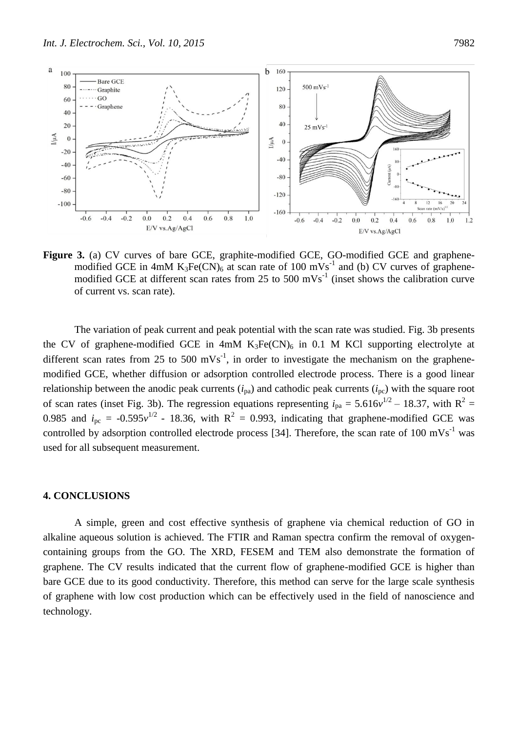

Figure 3. (a) CV curves of bare GCE, graphite-modified GCE, GO-modified GCE and graphenemodified GCE in 4mM  $K_3Fe(CN)_6$  at scan rate of 100 mVs<sup>-1</sup> and (b) CV curves of graphenemodified GCE at different scan rates from 25 to 500 mVs<sup>-1</sup> (inset shows the calibration curve of current vs. scan rate).

The variation of peak current and peak potential with the scan rate was studied. Fig. 3b presents the CV of graphene-modified GCE in  $4mM K<sub>3</sub>Fe(CN)<sub>6</sub>$  in 0.1 M KCl supporting electrolyte at different scan rates from 25 to 500 mVs<sup>-1</sup>, in order to investigate the mechanism on the graphenemodified GCE, whether diffusion or adsorption controlled electrode process. There is a good linear relationship between the anodic peak currents  $(i_{pa})$  and cathodic peak currents  $(i_{pc})$  with the square root of scan rates (inset Fig. 3b). The regression equations representing  $i_{pa} = 5.616v^{1/2} - 18.37$ , with  $R^2 =$ 0.985 and  $i_{\text{pc}} = -0.595v^{1/2}$  - 18.36, with  $R^2 = 0.993$ , indicating that graphene-modified GCE was controlled by adsorption controlled electrode process [34]. Therefore, the scan rate of 100 mVs<sup>-1</sup> was used for all subsequent measurement.

## **4. CONCLUSIONS**

A simple, green and cost effective synthesis of graphene via chemical reduction of GO in alkaline aqueous solution is achieved. The FTIR and Raman spectra confirm the removal of oxygencontaining groups from the GO. The XRD, FESEM and TEM also demonstrate the formation of graphene. The CV results indicated that the current flow of graphene-modified GCE is higher than bare GCE due to its good conductivity. Therefore, this method can serve for the large scale synthesis of graphene with low cost production which can be effectively used in the field of nanoscience and technology.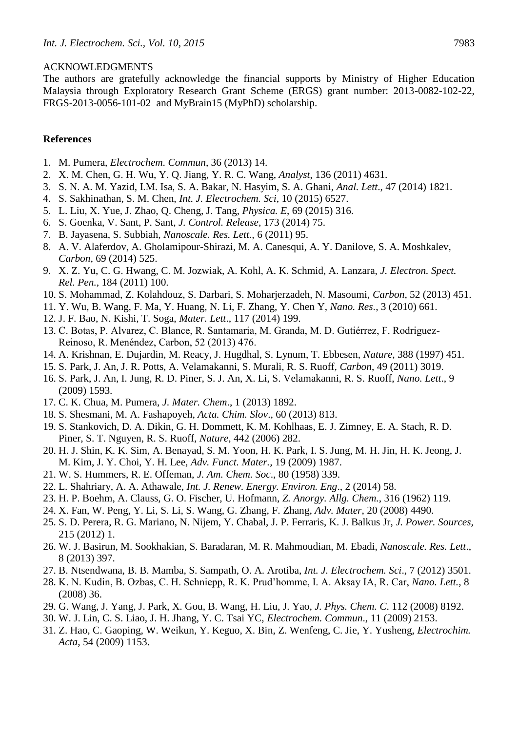#### ACKNOWLEDGMENTS

The authors are gratefully acknowledge the financial supports by Ministry of Higher Education Malaysia through Exploratory Research Grant Scheme (ERGS) grant number: 2013-0082-102-22, FRGS-2013-0056-101-02 and MyBrain15 (MyPhD) scholarship.

# **References**

- 1. M. Pumera, *Electrochem. Commun*, 36 (2013) 14.
- 2. X. M. Chen, G. H. Wu, Y. Q. Jiang, Y. R. C. Wang, *Analyst*, 136 (2011) 4631.
- 3. S. N. A. M. Yazid, I.M. Isa, S. A. Bakar, N. Hasyim, S. A. Ghani, *Anal. Lett*., 47 (2014) 1821.
- 4. S. Sakhinathan, S. M. Chen, *Int. J. Electrochem. Sci*, 10 (2015) 6527.
- 5. L. Liu, X. Yue, J. Zhao, Q. Cheng, J. Tang, *Physica. E*, 69 (2015) 316.
- 6. S. Goenka, V. Sant, P. Sant, *J. Control. Release*, 173 (2014) 75.
- 7. B. Jayasena, S. Subbiah, *Nanoscale. Res. Lett.,* 6 (2011) 95.
- 8. A. V. Alaferdov, A. Gholamipour-Shirazi, M. A. Canesqui, A. Y. Danilove, S. A. Moshkalev, *Carbon*, 69 (2014) 525.
- 9. X. Z. Yu, C. G. Hwang, C. M. Jozwiak, A. Kohl, A. K. Schmid, A. Lanzara, *J. Electron. Spect. Rel. Pen.*, 184 (2011) 100.
- 10. S. Mohammad, Z. Kolahdouz, S. Darbari, S. Moharjerzadeh, N. Masoumi, *Carbon*, 52 (2013) 451.
- 11. Y. Wu, B. Wang, F. Ma, Y. Huang, N. Li, F. Zhang, Y. Chen Y, *Nano. Res*., 3 (2010) 661.
- 12. J. F. Bao, N. Kishi, T. Soga, *Mater. Lett*., 117 (2014) 199.
- 13. C. Botas, P. Alvarez, C. Blance, R. Santamaria, M. Granda, M. D. Gutiérrez, F. Rodriguez-Reinoso, R. Menéndez, Carbon, 52 (2013) 476.
- 14. A. Krishnan, E. Dujardin, M. Reacy, J. Hugdhal, S. Lynum, T. Ebbesen, *Nature*, 388 (1997) 451.
- 15. S. Park, J. An, J. R. Potts, A. Velamakanni, S. Murali, R. S. Ruoff, *Carbon*, 49 (2011) 3019.
- 16. S. Park, J. An, I. Jung, R. D. Piner, S. J. An, X. Li, S. Velamakanni, R. S. Ruoff, *Nano. Lett*., 9 (2009) 1593.
- 17. C. K. Chua, M. Pumera, *J. Mater. Chem*., 1 (2013) 1892.
- 18. S. Shesmani, M. A. Fashapoyeh, *Acta. Chim. Slov*., 60 (2013) 813.
- 19. S. Stankovich, D. A. Dikin, G. H. Dommett, K. M. Kohlhaas, E. J. Zimney, E. A. Stach, R. D. Piner, S. T. Nguyen, R. S. Ruoff, *Nature*, 442 (2006) 282.
- 20. H. J. Shin, K. K. Sim, A. Benayad, S. M. Yoon, H. K. Park, I. S. Jung, M. H. Jin, H. K. Jeong, J. M. Kim, J. Y. Choi, Y. H. Lee, *Adv. Funct. Mater.,* 19 (2009) 1987.
- 21. W. S. Hummers, R. E. Offeman, *J. Am. Chem. Soc*., 80 (1958) 339.
- 22. L. Shahriary, A. A. Athawale, *Int. J. Renew. Energy. Environ. Eng*., 2 (2014) 58.
- 23. H. P. Boehm, A. Clauss, G. O. Fischer, U. Hofmann, *Z. Anorgy. Allg. Chem.*, 316 (1962) 119.
- 24. X. Fan, W. Peng, Y. Li, S. Li, S. Wang, G. Zhang, F. Zhang, *Adv. Mater*, 20 (2008) 4490.
- 25. S. D. Perera, R. G. Mariano, N. Nijem, Y. Chabal, J. P. Ferraris, K. J. Balkus Jr, *J. Power. Sources,* 215 (2012) 1.
- 26. W. J. Basirun, M. Sookhakian, S. Baradaran, M. R. Mahmoudian, M. Ebadi, *Nanoscale. Res. Lett*., 8 (2013) 397.
- 27. B. Ntsendwana, B. B. Mamba, S. Sampath, O. A. Arotiba, *Int. J. Electrochem. Sci*., 7 (2012) 3501.
- 28. K. N. Kudin, B. Ozbas, C. H. Schniepp, R. K. Prud'homme, I. A. Aksay IA, R. Car, *Nano. Lett.*, 8 (2008) 36.
- 29. G. Wang, J. Yang, J. Park, X. Gou, B. Wang, H. Liu, J. Yao, *J. Phys. Chem. C*. 112 (2008) 8192.
- 30. W. J. Lin, C. S. Liao, J. H. Jhang, Y. C. Tsai YC, *Electrochem. Commun*., 11 (2009) 2153.
- 31. Z. Hao, C. Gaoping, W. Weikun, Y. Keguo, X. Bin, Z. Wenfeng, C. Jie, Y. Yusheng, *Electrochim. Acta*, 54 (2009) 1153.